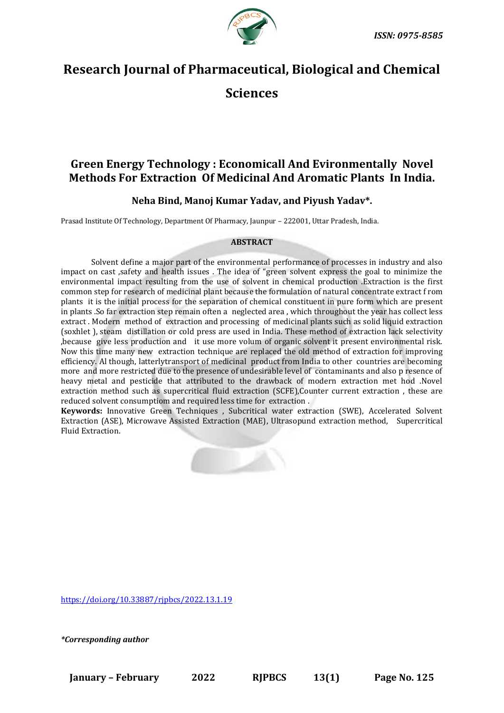

# **Research Journal of Pharmaceutical, Biological and Chemical Sciences**

## **Green Energy Technology : Economicall And Evironmentally Novel Methods For Extraction Of Medicinal And Aromatic Plants In India.**

### **Neha Bind, Manoj Kumar Yadav, and Piyush Yadav\*.**

Prasad Institute Of Technology, Department Of Pharmacy, Jaunpur – 222001, Uttar Pradesh, India.

#### **ABSTRACT**

Solvent define a major part of the environmental performance of processes in industry and also impact on cast ,safety and health issues . The idea of "green solvent express the goal to minimize the environmental impact resulting from the use of solvent in chemical production .Extraction is the first common step for research of medicinal plant because the formulation of natural concentrate extract f rom plants it is the initial process for the separation of chemical constituent in pure form which are present in plants .So far extraction step remain often a neglected area , which throughout the year has collect less extract . Modern method of extraction and processing of medicinal plants such as solid liquid extraction (soxhlet ), steam distillation or cold press are used in India. These method of extraction lack selectivity ,because give less production and it use more volum of organic solvent it present environmental risk. Now this time many new extraction technique are replaced the old method of extraction for improving efficiency. Al though, latterlytransport of medicinal product from India to other countries are becoming more and more restricted due to the presence of undesirable level of contaminants and also p resence of heavy metal and pesticide that attributed to the drawback of modern extraction met hod .Novel extraction method such as supercritical fluid extraction (SCFE),Counter current extraction , these are reduced solvent consumptiom and required less time for extraction .

**Keywords:** Innovative Green Techniques , Subcritical water extraction (SWE), Accelerated Solvent Extraction (ASE), Microwave Assisted Extraction (MAE), Ultrasopund extraction method, Supercritical Fluid Extraction.



<https://doi.org/10.33887/rjpbcs/2022.13.1.19>

*\*Corresponding author*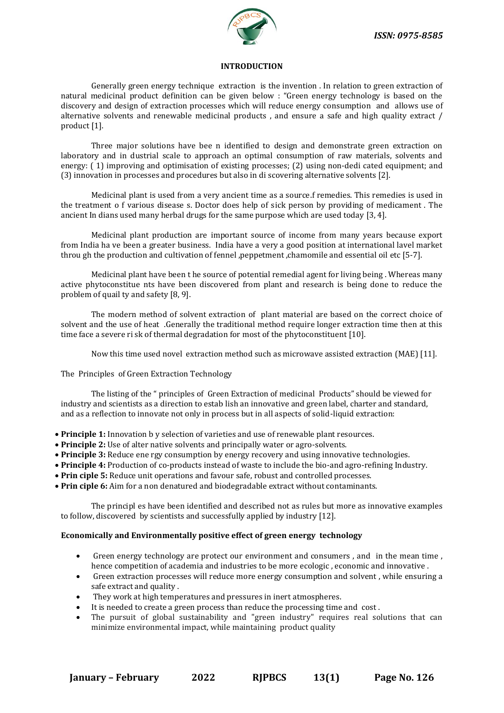

#### **INTRODUCTION**

Generally green energy technique extraction is the invention . In relation to green extraction of natural medicinal product definition can be given below : "Green energy technology is based on the discovery and design of extraction processes which will reduce energy consumption and allows use of alternative solvents and renewable medicinal products , and ensure a safe and high quality extract / product [1].

Three major solutions have bee n identified to design and demonstrate green extraction on laboratory and in dustrial scale to approach an optimal consumption of raw materials, solvents and energy: (1) improving and optimisation of existing processes; (2) using non-dedi cated equipment; and (3) innovation in processes and procedures but also in di scovering alternative solvents [2].

Medicinal plant is used from a very ancient time as a source.f remedies. This remedies is used in the treatment o f various disease s. Doctor does help of sick person by providing of medicament . The ancient In dians used many herbal drugs for the same purpose which are used today [3, 4].

Medicinal plant production are important source of income from many years because export from India ha ve been a greater business. India have a very a good position at international lavel market throu gh the production and cultivation of fennel ,peppetment ,chamomile and essential oil etc [5-7].

Medicinal plant have been t he source of potential remedial agent for living being . Whereas many active phytoconstitue nts have been discovered from plant and research is being done to reduce the problem of quail ty and safety [8, 9].

The modern method of solvent extraction of plant material are based on the correct choice of solvent and the use of heat .Generally the traditional method require longer extraction time then at this time face a severe ri sk of thermal degradation for most of the phytoconstituent [10].

Now this time used novel extraction method such as microwave assisted extraction (MAE) [11].

The Principles of Green Extraction Technology

The listing of the " principles of Green Extraction of medicinal Products" should be viewed for industry and scientists as a direction to estab lish an innovative and green label, charter and standard, and as a reflection to innovate not only in process but in all aspects of solid-liquid extraction:

- **Principle 1:** Innovation b y selection of varieties and use of renewable plant resources.
- **Principle 2:** Use of alter native solvents and principally water or agro-solvents.
- **Principle 3:** Reduce ene rgy consumption by energy recovery and using innovative technologies.
- **Principle 4:** Production of co-products instead of waste to include the bio-and agro-refining Industry.
- **Prin ciple 5:** Reduce unit operations and favour safe, robust and controlled processes.
- **Prin ciple 6:** Aim for a non denatured and biodegradable extract without contaminants.

The principl es have been identified and described not as rules but more as innovative examples to follow, discovered by scientists and successfully applied by industry [12].

#### **Economically and Environmentally positive effect of green energy technology**

- Green energy technology are protect our environment and consumers , and in the mean time , hence competition of academia and industries to be more ecologic , economic and innovative .
- Green extraction processes will reduce more energy consumption and solvent , while ensuring a safe extract and quality .
- They work at high temperatures and pressures in inert atmospheres.
- It is needed to create a green process than reduce the processing time and cost.
- The pursuit of global sustainability and "green industry" requires real solutions that can minimize environmental impact, while maintaining product quality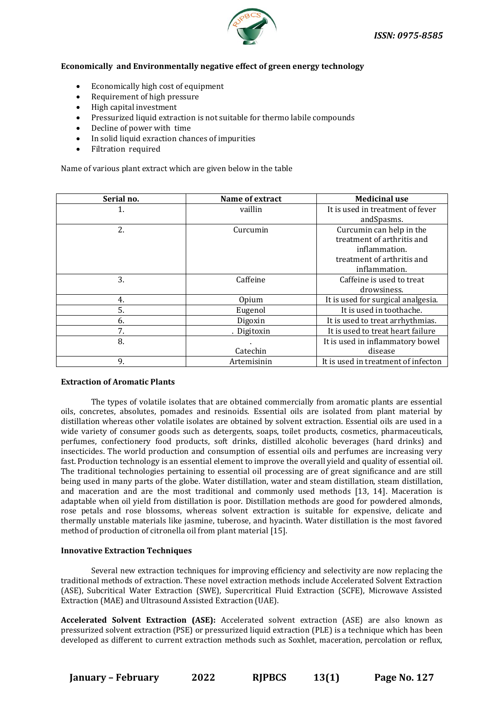

#### **Economically and Environmentally negative effect of green energy technology**

- Economically high cost of equipment
- Requirement of high pressure
- High capital investment
- Pressurized liquid extraction is not suitable for thermo labile compounds
- Decline of power with time
- In solid liquid exraction chances of impurities
- Filtration required

Name of various plant extract which are given below in the table

| Serial no. | Name of extract | <b>Medicinal use</b>                |
|------------|-----------------|-------------------------------------|
| 1.         | vaillin         | It is used in treatment of fever    |
|            |                 | andSpasms.                          |
| 2.         | Curcumin        | Curcumin can help in the            |
|            |                 | treatment of arthritis and          |
|            |                 | inflammation.                       |
|            |                 | treatment of arthritis and          |
|            |                 | inflammation.                       |
| 3.         | Caffeine        | Caffeine is used to treat           |
|            |                 | drowsiness.                         |
| 4.         | Opium           | It is used for surgical analgesia.  |
| 5.         | Eugenol         | It is used in toothache.            |
| 6.         | Digoxin         | It is used to treat arrhythmias.    |
| 7.         | . Digitoxin     | It is used to treat heart failure   |
| 8.         |                 | It is used in inflammatory bowel    |
|            | Catechin        | disease                             |
| 9.         | Artemisinin     | It is used in treatment of infecton |

#### **Extraction of Aromatic Plants**

The types of volatile isolates that are obtained commercially from aromatic plants are essential oils, concretes, absolutes, pomades and resinoids. Essential oils are isolated from plant material by distillation whereas other volatile isolates are obtained by solvent extraction. Essential oils are used in a wide variety of consumer goods such as detergents, soaps, toilet products, cosmetics, pharmaceuticals, perfumes, confectionery food products, soft drinks, distilled alcoholic beverages (hard drinks) and insecticides. The world production and consumption of essential oils and perfumes are increasing very fast. Production technology is an essential element to improve the overall yield and quality of essential oil. The traditional technologies pertaining to essential oil processing are of great significance and are still being used in many parts of the globe. Water distillation, water and steam distillation, steam distillation, and maceration and are the most traditional and commonly used methods [13, 14]. Maceration is adaptable when oil yield from distillation is poor. Distillation methods are good for powdered almonds, rose petals and rose blossoms, whereas solvent extraction is suitable for expensive, delicate and thermally unstable materials like jasmine, tuberose, and hyacinth. Water distillation is the most favored method of production of citronella oil from plant material [15].

#### **Innovative Extraction Techniques**

Several new extraction techniques for improving efficiency and selectivity are now replacing the traditional methods of extraction. These novel extraction methods include Accelerated Solvent Extraction (ASE), Subcritical Water Extraction (SWE), Supercritical Fluid Extraction (SCFE), Microwave Assisted Extraction (MAE) and Ultrasound Assisted Extraction (UAE).

**Accelerated Solvent Extraction (ASE):** Accelerated solvent extraction (ASE) are also known as pressurized solvent extraction (PSE) or pressurized liquid extraction (PLE) is a technique which has been developed as different to current extraction methods such as Soxhlet, maceration, percolation or reflux,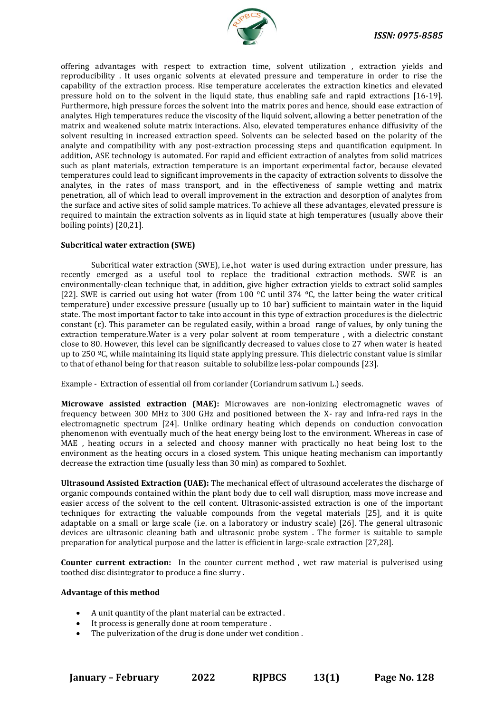

offering advantages with respect to extraction time, solvent utilization , extraction yields and reproducibility . It uses organic solvents at elevated pressure and temperature in order to rise the capability of the extraction process. Rise temperature accelerates the extraction kinetics and elevated pressure hold on to the solvent in the liquid state, thus enabling safe and rapid extractions [16-19]. Furthermore, high pressure forces the solvent into the matrix pores and hence, should ease extraction of analytes. High temperatures reduce the viscosity of the liquid solvent, allowing a better penetration of the matrix and weakened solute matrix interactions. Also, elevated temperatures enhance diffusivity of the solvent resulting in increased extraction speed. Solvents can be selected based on the polarity of the analyte and compatibility with any post-extraction processing steps and quantification equipment. In addition, ASE technology is automated. For rapid and efficient extraction of analytes from solid matrices such as plant materials, extraction temperature is an important experimental factor, because elevated temperatures could lead to significant improvements in the capacity of extraction solvents to dissolve the analytes, in the rates of mass transport, and in the effectiveness of sample wetting and matrix penetration, all of which lead to overall improvement in the extraction and desorption of analytes from the surface and active sites of solid sample matrices. To achieve all these advantages, elevated pressure is required to maintain the extraction solvents as in liquid state at high temperatures (usually above their boiling points) [20,21].

#### **Subcritical water extraction (SWE)**

Subcritical water extraction (SWE), i.e.,hot water is used during extraction under pressure, has recently emerged as a useful tool to replace the traditional extraction methods. SWE is an environmentally-clean technique that, in addition, give higher extraction yields to extract solid samples [22]. SWE is carried out using hot water (from 100  $^{\circ}$ C until 374  $^{\circ}$ C, the latter being the water critical temperature) under excessive pressure (usually up to 10 bar) sufficient to maintain water in the liquid state. The most important factor to take into account in this type of extraction procedures is the dielectric constant ( $\varepsilon$ ). This parameter can be regulated easily, within a broad range of values, by only tuning the extraction temperature.Water is a very polar solvent at room temperature , with a dielectric constant close to 80. However, this level can be significantly decreased to values close to 27 when water is heated up to 250  $^{\circ}$ C, while maintaining its liquid state applying pressure. This dielectric constant value is similar to that of ethanol being for that reason suitable to solubilize less-polar compounds [23].

Example - Extraction of essential oil from coriander (Coriandrum sativum L.) seeds.

**Microwave assisted extraction (MAE):** Microwaves are non-ionizing electromagnetic waves of frequency between 300 MHz to 300 GHz and positioned between the X- ray and infra-red rays in the electromagnetic spectrum [24]. Unlike ordinary heating which depends on conduction convocation phenomenon with eventually much of the heat energy being lost to the environment. Whereas in case of MAE , heating occurs in a selected and choosy manner with practically no heat being lost to the environment as the heating occurs in a closed system. This unique heating mechanism can importantly decrease the extraction time (usually less than 30 min) as compared to Soxhlet.

**Ultrasound Assisted Extraction (UAE):** The mechanical effect of ultrasound accelerates the discharge of organic compounds contained within the plant body due to cell wall disruption, mass move increase and easier access of the solvent to the cell content. Ultrasonic-assisted extraction is one of the important techniques for extracting the valuable compounds from the vegetal materials [25], and it is quite adaptable on a small or large scale (i.e. on a laboratory or industry scale) [26]. The general ultrasonic devices are ultrasonic cleaning bath and ultrasonic probe system . The former is suitable to sample preparation for analytical purpose and the latter is efficient in large-scale extraction [27,28].

**Counter current extraction:** In the counter current method , wet raw material is pulverised using toothed disc disintegrator to produce a fine slurry .

#### **Advantage of this method**

- A unit quantity of the plant material can be extracted .
- It process is generally done at room temperature .
- The pulverization of the drug is done under wet condition .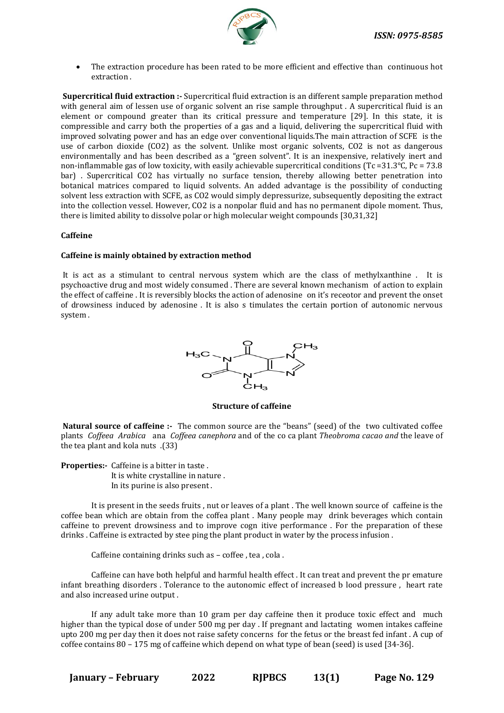

• The extraction procedure has been rated to be more efficient and effective than continuous hot extraction .

**Supercritical fluid extraction :-** Supercritical fluid extraction is an different sample preparation method with general aim of lessen use of organic solvent an rise sample throughput . A supercritical fluid is an element or compound greater than its critical pressure and temperature [29]. In this state, it is compressible and carry both the properties of a gas and a liquid, delivering the supercritical fluid with improved solvating power and has an edge over conventional liquids.The main attraction of SCFE is the use of carbon dioxide (CO2) as the solvent. Unlike most organic solvents, CO2 is not as dangerous environmentally and has been described as a "green solvent". It is an inexpensive, relatively inert and non-inflammable gas of low toxicity, with easily achievable supercritical conditions (Tc =31.3°C, Pc = 73.8 bar) . Supercritical CO2 has virtually no surface tension, thereby allowing better penetration into botanical matrices compared to liquid solvents. An added advantage is the possibility of conducting solvent less extraction with SCFE, as CO2 would simply depressurize, subsequently depositing the extract into the collection vessel. However, CO2 is a nonpolar fluid and has no permanent dipole moment. Thus, there is limited ability to dissolve polar or high molecular weight compounds [30,31,32]

#### **Caffeine**

#### **Caffeine is mainly obtained by extraction method**

It is act as a stimulant to central nervous system which are the class of methylxanthine . It is psychoactive drug and most widely consumed . There are several known mechanism of action to explain the effect of caffeine . It is reversibly blocks the action of adenosine on it's receotor and prevent the onset of drowsiness induced by adenosine . It is also s timulates the certain portion of autonomic nervous system .



**Structure of caffeine**

**Natural source of caffeine :-** The common source are the "beans" (seed) of the two cultivated coffee plants *Coffeea Arabica* ana *Coffeea canephora* and of the co ca plant *Theobroma cacao and* the leave of the tea plant and kola nuts .(33)

**Properties:***-* Caffeine is a bitter in taste . It is white crystalline in nature . In its purine is also present .

It is present in the seeds fruits , nut or leaves of a plant . The well known source of caffeine is the coffee bean which are obtain from the coffea plant . Many people may drink beverages which contain caffeine to prevent drowsiness and to improve cogn itive performance . For the preparation of these drinks . Caffeine is extracted by stee ping the plant product in water by the process infusion .

Caffeine containing drinks such as – coffee , tea , cola .

Caffeine can have both helpful and harmful health effect . It can treat and prevent the pr emature infant breathing disorders . Tolerance to the autonomic effect of increased b lood pressure , heart rate and also increased urine output .

If any adult take more than 10 gram per day caffeine then it produce toxic effect and much higher than the typical dose of under 500 mg per day . If pregnant and lactating women intakes caffeine upto 200 mg per day then it does not raise safety concerns for the fetus or the breast fed infant . A cup of coffee contains 80 – 175 mg of caffeine which depend on what type of bean (seed) is used [34-36].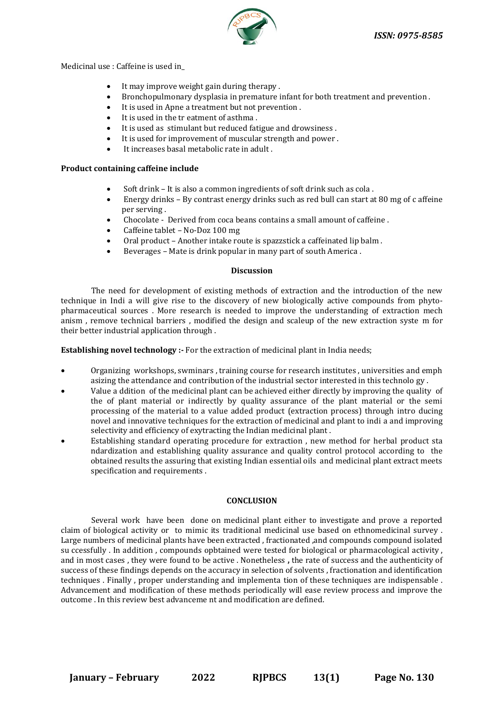

Medicinal use : Caffeine is used in\_

- It may improve weight gain during therapy .
- Bronchopulmonary dysplasia in premature infant for both treatment and prevention .
- It is used in Apne a treatment but not prevention.
- It is used in the tr eatment of asthma .
- It is used as stimulant but reduced fatigue and drowsiness.
- It is used for improvement of muscular strength and power.
- It increases basal metabolic rate in adult .

#### **Product containing caffeine include**

- Soft drink It is also a common ingredients of soft drink such as cola .
- Energy drinks By contrast energy drinks such as red bull can start at 80 mg of c affeine per serving .
- Chocolate Derived from coca beans contains a small amount of caffeine .
- Caffeine tablet No-Doz 100 mg
- Oral product Another intake route is spazzstick a caffeinated lip balm .
- Beverages Mate is drink popular in many part of south America .

#### **Discussion**

The need for development of existing methods of extraction and the introduction of the new technique in Indi a will give rise to the discovery of new biologically active compounds from phytopharmaceutical sources . More research is needed to improve the understanding of extraction mech anism , remove technical barriers , modified the design and scaleup of the new extraction syste m for their better industrial application through .

**Establishing novel technology :-** For the extraction of medicinal plant in India needs;

- Organizing workshops, swminars , training course for research institutes , universities and emph asizing the attendance and contribution of the industrial sector interested in this technolo gy .
- Value a ddition of the medicinal plant can be achieved either directly by improving the quality of the of plant material or indirectly by quality assurance of the plant material or the semi processing of the material to a value added product (extraction process) through intro ducing novel and innovative techniques for the extraction of medicinal and plant to indi a and improving selectivity and efficiency of exytracting the Indian medicinal plant .
- Establishing standard operating procedure for extraction , new method for herbal product sta ndardization and establishing quality assurance and quality control protocol according to the obtained results the assuring that existing Indian essential oils and medicinal plant extract meets specification and requirements .

#### **CONCLUSION**

Several work have been done on medicinal plant either to investigate and prove a reported claim of biological activity or to mimic its traditional medicinal use based on ethnomedicinal survey . Large numbers of medicinal plants have been extracted , fractionated ,and compounds compound isolated su ccessfully . In addition , compounds opbtained were tested for biological or pharmacological activity , and in most cases , they were found to be active . Nonetheless **,** the rate of success and the authenticity of success of these findings depends on the accuracy in selection of solvents , fractionation and identification techniques . Finally , proper understanding and implementa tion of these techniques are indispensable . Advancement and modification of these methods periodically will ease review process and improve the outcome . In this review best advanceme nt and modification are defined.